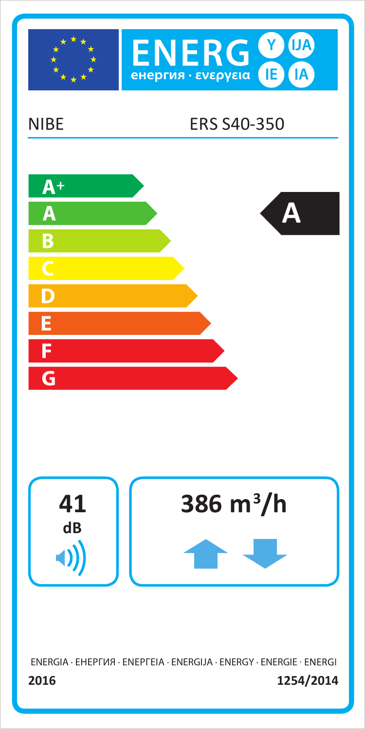

2016

1254/2014